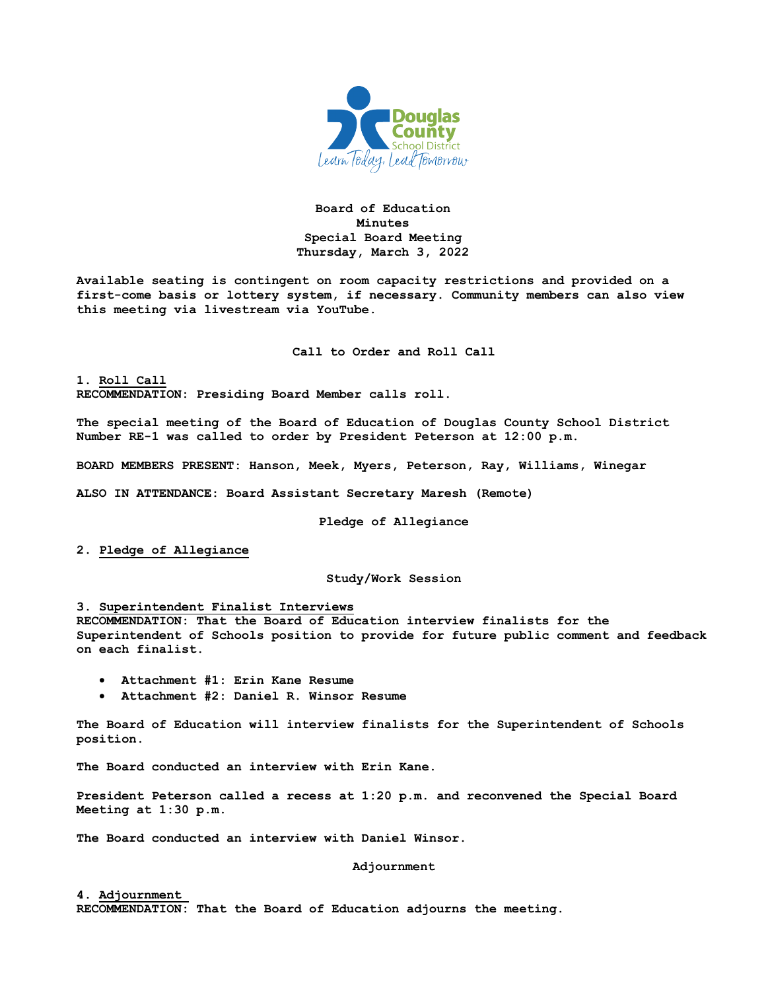

# **Board of Education Minutes Special Board Meeting Thursday, March 3, 2022**

**Available seating is contingent on room capacity restrictions and provided on a first-come basis or lottery system, if necessary. Community members can also view this meeting via livestream via YouTube.**

**Call to Order and Roll Call**

**1. Roll Call RECOMMENDATION: Presiding Board Member calls roll.** 

**The special meeting of the Board of Education of Douglas County School District Number RE-1 was called to order by President Peterson at 12:00 p.m.**

**BOARD MEMBERS PRESENT: Hanson, Meek, Myers, Peterson, Ray, Williams, Winegar**

**ALSO IN ATTENDANCE: Board Assistant Secretary Maresh (Remote)**

**Pledge of Allegiance**

**2. Pledge of Allegiance**

## **Study/Work Session**

#### **3. Superintendent Finalist Interviews**

**RECOMMENDATION: That the Board of Education interview finalists for the Superintendent of Schools position to provide for future public comment and feedback on each finalist.** 

- **Attachment #1: Erin Kane Resume**
- **Attachment #2: Daniel R. Winsor Resume**

**The Board of Education will interview finalists for the Superintendent of Schools position.** 

**The Board conducted an interview with Erin Kane.**

**President Peterson called a recess at 1:20 p.m. and reconvened the Special Board Meeting at 1:30 p.m.**

**The Board conducted an interview with Daniel Winsor.**

### **Adjournment**

### **4. Adjournment**

**RECOMMENDATION: That the Board of Education adjourns the meeting.**